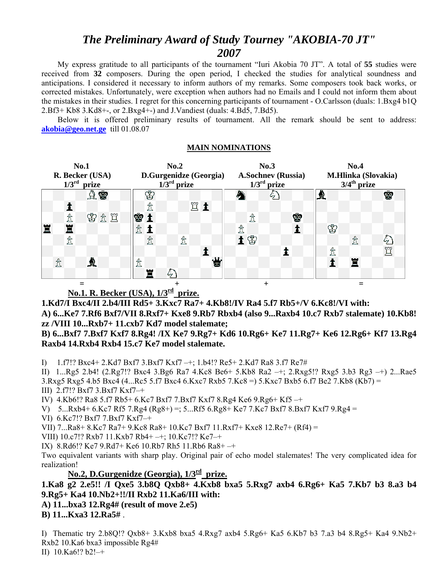# *The Preliminary Award of Study Tourney "AKOBIA-70 JT" 2007*

 My express gratitude to all participants of the tournament "Iuri Akobia 70 JT". A total of **55** studies were received from **32** composers. During the open period, I checked the studies for analytical soundness and anticipations. I considered it necessary to inform authors of my remarks. Some composers took back works, or corrected mistakes. Unfortunately, were exception when authors had no Emails and I could not inform them about the mistakes in their studies. I regret for this concerning participants of tournament - O.Carlsson (duals: 1.Bxg4 b1Q 2.Bf3+ Kb8 3.Kd8+-, or 2.Bxg4+-) and J.Vandiest (duals: 4.Bd5, 7.Bd5).

 Below it is offered preliminary results of tournament. All the remark should be sent to address: **[akobia@geo.net.ge](mailto:akobia@geo.net.ge)** till 01.08.07

| <b>No.1</b><br>R. Becker (USA)<br>$1/3^{\text{rd}}$<br>prize |   |  |                    |  |  |   | No.2<br>D.Gurgenidze (Georgia)<br>$1/3^{\text{rd}}$ prize |  |      |   |    |  |   |  | No.3<br><b>A.Sochney (Russia)</b><br>$1/3^{\text{rd}}$ prize |   |              |  |   |  |   | No.4<br>M.Hlinka (Slovakia)<br>$3/4$ <sup>th</sup> prize |   |  |   |  |  |  |
|--------------------------------------------------------------|---|--|--------------------|--|--|---|-----------------------------------------------------------|--|------|---|----|--|---|--|--------------------------------------------------------------|---|--------------|--|---|--|---|----------------------------------------------------------|---|--|---|--|--|--|
|                                                              |   |  | $A$ $\circledcirc$ |  |  |   | ♔                                                         |  |      |   |    |  |   |  |                                                              |   | 67.1         |  |   |  |   |                                                          |   |  | Ŵ |  |  |  |
|                                                              |   |  |                    |  |  |   | 岔                                                         |  |      |   | Ëi |  |   |  |                                                              |   |              |  |   |  |   |                                                          |   |  |   |  |  |  |
|                                                              | 贪 |  | 曾立义                |  |  | ġ |                                                           |  |      |   |    |  |   |  |                                                              | 岔 |              |  | ♔ |  |   |                                                          |   |  |   |  |  |  |
| 冒                                                            | 罝 |  |                    |  |  | 峹 |                                                           |  |      |   |    |  |   |  | 贪                                                            |   |              |  |   |  | ♔ |                                                          |   |  |   |  |  |  |
|                                                              | ₫ |  |                    |  |  |   | 峹                                                         |  |      | ₫ |    |  |   |  | 土田                                                           |   |              |  |   |  |   |                                                          | 岔 |  |   |  |  |  |
|                                                              |   |  |                    |  |  |   |                                                           |  |      |   |    |  |   |  |                                                              |   |              |  |   |  | 峹 |                                                          |   |  | Ч |  |  |  |
|                                                              | ₫ |  | ≜                  |  |  | 贪 |                                                           |  |      |   |    |  | 営 |  |                                                              |   |              |  |   |  |   |                                                          | Ë |  |   |  |  |  |
|                                                              |   |  |                    |  |  |   | Ē                                                         |  | تنگه |   |    |  |   |  |                                                              |   |              |  |   |  |   |                                                          |   |  |   |  |  |  |
|                                                              |   |  |                    |  |  |   |                                                           |  |      |   |    |  |   |  |                                                              |   | $\mathrm{+}$ |  |   |  |   |                                                          |   |  |   |  |  |  |

#### **MAIN NOMINATIONS**

## **No.1. R. Becker (USA), 1/3rd prize.**

**1.Kd7/I Bxc4/II 2.b4/III Rd5+ 3.Kxc7 Ra7+ 4.Kb8!/IV Ra4 5.f7 Rb5+/V 6.Kc8!/VI with: A) 6...Ke7 7.Rf6 Bxf7/VII 8.Rxf7+ Kxe8 9.Rb7 Rbxb4 (also 9...Raxb4 10.c7 Rxb7 stalemate) 10.Kb8! zz /VIII 10...Rxb7+ 11.cxb7 Kd7 model stalemate;** 

#### **B) 6...Bxf7 7.Bxf7 Kxf7 8.Rg4! /IX Ke7 9.Rg7+ Kd6 10.Rg6+ Ke7 11.Rg7+ Ke6 12.Rg6+ Kf7 13.Rg4 Raxb4 14.Rxb4 Rxb4 15.c7 Ke7 model stalemate.**

I) 1.f7!? Bxc4+ 2.Kd7 Bxf7 3.Bxf7 Kxf7 –+; 1.b4!? Re5+ 2.Kd7 Ra8 3.f7 Re7#

II) 1...Rg5 2.b4! (2.Rg7!? Bxc4 3.Bg6 Ra7 4.Kc8 Be6+ 5.Kb8 Ra2 –+; 2.Rxg5!? Rxg5 3.b3 Rg3 –+) 2...Rae5 3.Rxg5 Rxg5 4.b5 Bxc4 (4...Rc5 5.f7 Bxc4 6.Kxc7 Rxb5 7.Kc8 =) 5.Kxc7 Bxb5 6.f7 Be2 7.Kb8 (Kb7) =

III) 2.f7!? Bxf7 3.Bxf7 Kxf7–+

IV) 4.Kb6!? Ra8 5.f7 Rb5+ 6.Kc7 Bxf7 7.Bxf7 Kxf7 8.Rg4 Ke6 9.Rg6+ Kf5 –+

V) 5...Rxb4+ 6.Kc7 Rf5 7.Rg4 (Rg8+) =; 5...Rf5 6.Rg8+ Ke7 7.Kc7 Bxf7 8.Bxf7 Kxf7 9.Rg4 =

VI) 6.Kc7!? Bxf7 7.Bxf7 Kxf7–+

VII) 7...Ra8+ 8.Kc7 Ra7+ 9.Kc8 Ra8+ 10.Kc7 Bxf7 11.Rxf7+ Kxe8 12.Re7+ (Rf4) =

VIII) 10.c7!? Rxb7 11.Kxb7 Rb4+ –+; 10.Kc7!? Ke7–+

IX) 8.Rd6!? Ke7 9.Rd7+ Ke6 10.Rb7 Rh5 11.Rb6 Ra8+ –+

Two equivalent variants with sharp play. Original pair of echo model stalemates! The very complicated idea for realization!

# **No.2, D.Gurgenidze (Georgia), 1/3rd prize.**

### **1.Ka8 g2 2.e5!! /I Qxe5 3.b8Q Qxb8+ 4.Kxb8 bxa5 5.Rxg7 axb4 6.Rg6+ Ka5 7.Kb7 b3 8.a3 b4 9.Rg5+ Ka4 10.Nb2+!!/II Rxb2 11.Ka6/III with:**

**A) 11...bxa3 12.Rg4# (result of move 2.e5)** 

**B) 11...Kxa3 12.Ra5#** .

I) Thematic try 2.b8Q!? Qxb8+ 3.Kxb8 bxa5 4.Rxg7 axb4 5.Rg6+ Ka5 6.Kb7 b3 7.a3 b4 8.Rg5+ Ka4 9.Nb2+ Rxb2 10.Ka6 bxa3 impossible Rg4# II) 10.Ka6!? b2!–+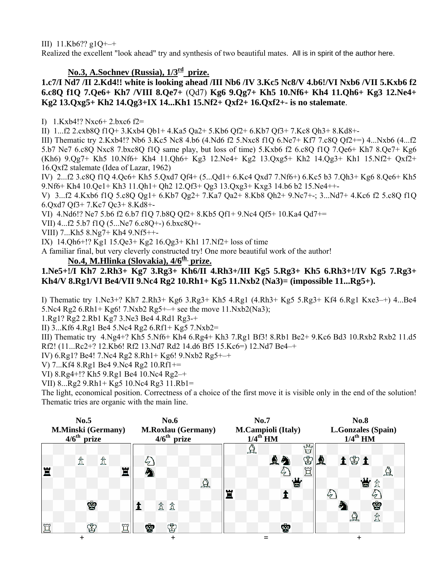III)  $11.Kb6?? g1Q++$ 

Realized the excellent "look ahead" try and synthesis of two beautiful mates. All is in spirit of the author here.

# No.3, A.Sochnev (Russia),  $1/3^{rd}$  prize.

#### **1.c7/I Nd7 /II 2.Kd4!! white is looking ahead /III Nb6 /IV 3.Kc5 Nc8/V 4.b6!/VI Nxb6 /VII 5.Kxb6 f2 6.c8Q f1Q 7.Qe6+ Kh7 /VIII 8.Qe7+** (Qd7) **Kg6 9.Qg7+ Kh5 10.Nf6+ Kh4 11.Qh6+ Kg3 12.Ne4+ Kg2 13.Qxg5+ Kh2 14.Qg3+IX 14...Kh1 15.Nf2+ Qxf2+ 16.Qxf2+- is no stalemate**.

I) 1.Kxb4!? Nxc6+ 2.bxc6 f2=

II) 1...f2 2.cxb8Q f1Q+ 3.Kxb4 Qb1+ 4.Ka5 Qa2+ 5.Kb6 Qf2+ 6.Kb7 Qf3+ 7.Kc8 Qh3+ 8.Kd8+-

III) Thematic try 2.Kxb4!? Nb6 3.Kc5 Nc8 4.b6 (4.Nd6 f2 5.Nxc8 f1Q 6.Ne7+ Kf7 7.c8Q Qf2+=) 4...Nxb6 (4...f2 5.b7 Ne7 6.c8Q Nxc8 7.bxc8Q f1Q same play, but loss of time) 5.Kxb6 f2 6.c8Q f1Q 7.Qe6+ Kh7 8.Qe7+ Kg6 (Kh6) 9.Qg7+ Kh5 10.Nf6+ Kh4 11.Qh6+ Kg3 12.Ne4+ Kg2 13.Qxg5+ Kh2 14.Qg3+ Kh1 15.Nf2+ Qxf2+ 16.Qxf2 stalemate (Idea of Lazar, 1962)

IV) 2...f2 3.c8Q f1Q 4.Qc6+ Kh5 5.Qxd7 Qf4+ (5...Qd1+ 6.Kc4 Qxd7 7.Nf6+) 6.Kc5 b3 7.Qh3+ Kg6 8.Qe6+ Kh5 9.Nf6+ Kh4 10.Qe1+ Kh3 11.Qh1+ Qh2 12.Qf3+ Qg3 13.Qxg3+ Kxg3 14.b6 b2 15.Ne4++-

V) 3...f2 4.Kxb6 f1Q 5.c8Q Qg1+ 6.Kb7 Qg2+ 7.Ka7 Qa2+ 8.Kb8 Qh2+ 9.Nc7+-; 3...Nd7+ 4.Kc6 f2 5.c8Q f1Q 6.Qxd7 Qf3+ 7.Kc7 Qc3+ 8.Kd8+-

VI) 4.Nd6!? Ne7 5.b6 f2 6.b7 f1Q 7.b8Q Qf2+ 8.Kb5 Qf1+ 9.Nc4 Qf5+ 10.Ka4 Qd7+=

VII) 4...f2 5.b7 f1Q (5...Ne7 6.c8Q+-) 6.bxc8Q+-

VIII) 7...Kh5 8.Ng7+ Kh4 9.Nf5++-

IX) 14.Qh6+!? Kg1 15.Qe3+ Kg2 16.Qg3+ Kh1 17.Nf2+ loss of time

A familiar final, but very cleverly constructed try! One more beautiful work of the author!

#### No.4, M.Hlinka (Slovakia),  $4/6<sup>th</sup>$  prize.

#### **1.Ne5+!/I Kh7 2.Rh3+ Kg7 3.Rg3+ Kh6/II 4.Rh3+/III Kg5 5.Rg3+ Kh5 6.Rh3+!/IV Kg5 7.Rg3+ Kh4/V 8.Rg1/VI Be4/VII 9.Nc4 Rg2 10.Rh1+ Kg5 11.Nxb2 (Na3)= (impossible 11...Rg5+).**

I) Thematic try 1.Ne3+? Kh7 2.Rh3+ Kg6 3.Rg3+ Kh5 4.Rg1 (4.Rh3+ Kg5 5.Rg3+ Kf4 6.Rg1 Kxe3–+) 4...Be4 5.Nc4 Rg2 6.Rh1+ Kg6! 7.Nxb2 Rg5+–+ see the move 11.Nxb2(Na3);

1.Rg1? Rg2 2.Rb1 Kg7 3.Ne3 Be4 4.Rd1 Rg3-+

II) 3...Kf6 4.Rg1 Be4 5.Nc4 Rg2 6.Rf1+ Kg5 7.Nxb2=

III) Thematic try 4.Ng4+? Kh5 5.Nf6+ Kh4 6.Rg4+ Kh3 7.Rg1 Bf3! 8.Rb1 Be2+ 9.Kc6 Bd3 10.Rxb2 Rxb2 11.d5 Rf2! (11...Rc2+? 12.Kb6! Rf2 13.Nd7 Rd2 14.d6 Bf5 15.Kc6=) 12.Nd7 Be4–+

IV) 6.Rg1? Be4! 7.Nc4 Rg2 8.Rh1+ Kg6! 9.Nxb2 Rg5+–+

V) 7...Kf4 8.Rg1 Be4 9.Nc4 Rg2 10.Rf1+=

VI) 8.Rg4+!? Kh5 9.Rg1 Be4 10.Nc4 Rg2–+

VII) 8...Rg2 9.Rh1+ Kg5 10.Nc4 Rg3 11.Rb1=

The light, economical position. Correctness of a choice of the first move it is visible only in the end of the solution! Thematic tries are organic with the main line.

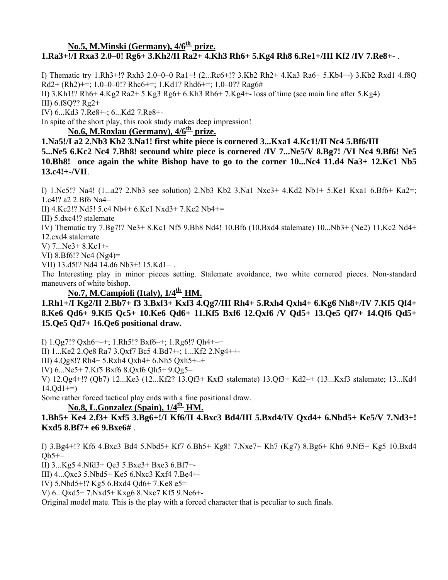### No.5, M.Minski (Germany),  $4/6<sup>th</sup>$  prize. **1.Ra3+!/I Rxa3 2.0–0! Rg6+ 3.Kh2/II Ra2+ 4.Kh3 Rh6+ 5.Kg4 Rh8 6.Re1+/III Kf2 /IV 7.Re8+-** .

I) Thematic try 1.Rh3+!? Rxh3 2.0–0–0 Ra1+! (2...Rc6+!? 3.Kb2 Rh2+ 4.Ka3 Ra6+ 5.Kb4+-) 3.Kb2 Rxd1 4.f8Q Rd2+ (Rh2)+=; 1.0–0–0!? Rhc6+=; 1.Kd1? Rhd6+=; 1.0–0?? Rag6# II) 3.Kh1!? Rh6+ 4.Kg2 Ra2+ 5.Kg3 Rg6+ 6.Kh3 Rh6+ 7.Kg4+- loss of time (see main line after 5.Kg4) III) 6.f8Q?? Rg2+ IV) 6...Kd3 7.Re8+-; 6...Kd2 7.Re8+-

In spite of the short play, this rook study makes deep impression!

### No.6, M.Roxlau (Germany),  $4/6<sup>th</sup>$  prize.

**1.Na5!/I a2 2.Nb3 Kb2 3.Na1! first white piece is cornered 3...Kxa1 4.Kc1!/II Nc4 5.Bf6/III 5...Ne5 6.Kc2 Nc4 7.Bh8! secound white piece is cornered /IV 7...Ne5/V 8.Bg7! /VI Nc4 9.Bf6! Ne5 10.Bh8! once again the white Bishop have to go to the corner 10...Nc4 11.d4 Na3+ 12.Kc1 Nb5 13.c4!+-/VII**.

I) 1.Nc5!? Na4! (1...a2? 2.Nb3 see solution) 2.Nb3 Kb2 3.Na1 Nxc3+ 4.Kd2 Nb1+ 5.Ke1 Kxa1 6.Bf6+ Ka2=; 1.c4!? a2 2.Bf6 Na4=

II) 4.Kc2!? Nd5! 5.c4 Nb4+ 6.Kc1 Nxd3+ 7.Kc2 Nb4+=

III) 5.dxc4!? stalemate

IV) Thematic try 7.Bg7!? Ne3+ 8.Kc1 Nf5 9.Bh8 Nd4! 10.Bf6 (10.Bxd4 stalemate) 10...Nb3+ (Ne2) 11.Kc2 Nd4+ 12.cxd4 stalemate

V) 7...Ne3+ 8.Kc1+-

VI) 8.Bf6!? Nc4 (Ng4)=

VII) 13.d5!? Nd4 14.d6 Nb3+! 15.Kd1= .

The Interesting play in minor pieces setting. Stalemate avoidance, two white cornered pieces. Non-standard maneuvers of white bishop.

#### No.7, M.Campioli (Italy),  $1/4^{\text{th}}$  HM.

**1.Rh1+/I Kg2/II 2.Bb7+ f3 3.Bxf3+ Kxf3 4.Qg7/III Rh4+ 5.Rxh4 Qxh4+ 6.Kg6 Nh8+/IV 7.Kf5 Qf4+ 8.Ke6 Qd6+ 9.Kf5 Qc5+ 10.Ke6 Qd6+ 11.Kf5 Bxf6 12.Qxf6 /V Qd5+ 13.Qe5 Qf7+ 14.Qf6 Qd5+ 15.Qe5 Qd7+ 16.Qe6 positional draw.**

I) 1.Qg7!? Qxh6+–+; 1.Rh5!? Bxf6–+; 1.Rg6!? Qh4+–+

II) 1...Ke2 2.Qe8 Ra7 3.Qxf7 Bc5 4.Bd7+-; 1...Kf2 2.Ng4++-

III) 4.Qg8!? Rh4+ 5.Rxh4 Qxh4+ 6.Nh5 Qxh5+–+

IV) 6...Ne5+ 7.Kf5 Bxf6 8.Qxf6 Qh5+ 9.Qg5=

V) 12.Qg4+!? (Qb7) 12...Ke3 (12...Kf2? 13.Qf3+ Kxf3 stalemate) 13.Qf3+ Kd2–+ (13...Kxf3 stalemate; 13...Kd4  $14.Qd1 ==$ 

Some rather forced tactical play ends with a fine positional draw.

#### No.8, L.Gonzalez (Spain),  $1/4^{\underline{th}}$  **HM.**

**1.Bh5+ Ke4 2.f3+ Kxf5 3.Bg6+!/I Kf6/II 4.Bxc3 Bd4/III 5.Bxd4/IV Qxd4+ 6.Nbd5+ Ke5/V 7.Nd3+! Kxd5 8.Bf7+ e6 9.Bxe6#** .

I) 3.Bg4+!? Kf6 4.Bxc3 Bd4 5.Nbd5+ Kf7 6.Bh5+ Kg8! 7.Nxe7+ Kh7 (Kg7) 8.Bg6+ Kh6 9.Nf5+ Kg5 10.Bxd4  $Ob5+=$ 

II) 3...Kg5 4.Nfd3+ Qe3 5.Bxe3+ Bxe3 6.Bf7+-

III) 4...Qxc3 5.Nbd5+ Ke5 6.Nxc3 Kxf4 7.Be4+-

IV) 5.Nbd5+!? Kg5 6.Bxd4 Qd6+ 7.Ke8 e5=

V) 6...Qxd5+ 7.Nxd5+ Kxg6 8.Nxc7 Kf5 9.Ne6+-

Original model mate. This is the play with a forced character that is peculiar to such finals.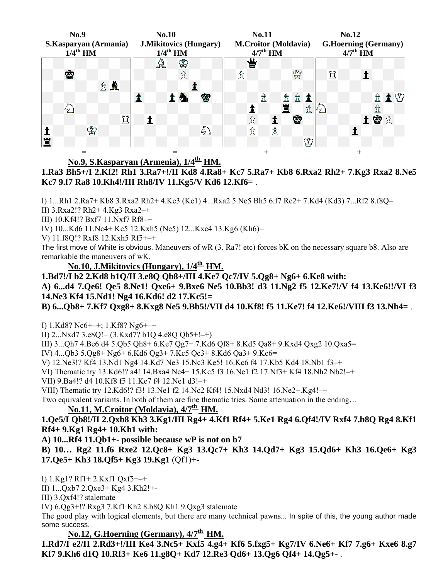

### No.9, S.Kasparyan (Armenia),  $1/4^{\underline{th}}$  HM.

**1.Ra3 Bh5+/I 2.Kf2! Rh1 3.Ra7+!/II Kd8 4.Ra8+ Kc7 5.Ra7+ Kb8 6.Rxa2 Rh2+ 7.Kg3 Rxa2 8.Ne5 Kc7 9.f7 Ra8 10.Kh4!/III Rh8/IV 11.Kg5/V Kd6 12.Kf6=** .

I) 1...Rh1 2.Ra7+ Kb8 3.Rxa2 Rh2+ 4.Ke3 (Ke1) 4...Rxa2 5.Ne5 Bh5 6.f7 Re2+ 7.Kd4 (Kd3) 7...Rf2 8.f8Q=

II) 3.Rxa2!? Rh2+ 4.Kg3 Rxa2–+

III) 10.Kf4!? Bxf7 11.Nxf7 Rf8–+

IV) 10...Kd6 11.Nc4+ Kc5 12.Kxh5 (Ne5) 12...Kxc4 13.Kg6 (Kh6)=

V) 11.f8Q!? Rxf8 12.Kxh5 Rf5+–+

The first move of White is obvious. Maneuvers of wR (3. Ra7! etc) forces bK on the necessary square b8. Also are remarkable the maneuvers of wK.

**No.10, J.Mikitovics (Hungary), 1/4th HM.**

**1.Bd7!/I b2 2.Kd8 b1Q/II 3.e8Q Qb8+/III 4.Ke7 Qc7/IV 5.Qg8+ Ng6+ 6.Ke8 with:** 

**A) 6...d4 7.Qe6! Qe5 8.Ne1! Qxe6+ 9.Bxe6 Ne5 10.Bb3! d3 11.Ng2 f5 12.Ke7!/V f4 13.Ke6!!/VI f3 14.Ne3 Kf4 15.Nd1! Ng4 16.Kd6! d2 17.Kc5!=** 

**B) 6...Qb8+ 7.Kf7 Qxg8+ 8.Kxg8 Ne5 9.Bb5!/VII d4 10.Kf8! f5 11.Ke7! f4 12.Ke6!/VIII f3 13.Nh4=** .

I) 1.Kd8? Nc6+–+; 1.Kf8? Ng6+–+

II) 2... $Nxd7$  3.e8Q!= (3.Kxd7? b1Q 4.e8Q Qb5+!-+)

III) 3...Qh7 4.Be6 d4 5.Qb5 Qh8+ 6.Ke7 Qg7+ 7.Kd6 Qf8+ 8.Kd5 Qa8+ 9.Kxd4 Qxg2 10.Qxa5=

IV) 4...Qb3 5.Qg8+ Ng6+ 6.Kd6 Qg3+ 7.Kc5 Qc3+ 8.Kd6 Qa3+ 9.Kc6=

V) 12.Ne3!? Kf4 13.Nd1 Ng4 14.Kd7 Ne3 15.Nc3 Ke5! 16.Kc6 f4 17.Kb5 Kd4 18.Nb1 f3–+

VI) Thematic try 13.Kd6!? a4! 14.Bxa4 Nc4+ 15.Kc5 f3 16.Ne1 f2 17.Nf3+ Kf4 18.Nh2 Nb2!–+

VII) 9.Ba4!? d4 10.Kf8 f5 11.Ke7 f4 12.Ne1 d3!–+

VIII) Thematic try 12.Kd6!? f3! 13.Ne1 f2 14.Nc2 Kf4! 15.Nxd4 Nd3! 16.Ne2+.Kg4!–+

Two equivalent variants. In both of them are fine thematic tries. Some attenuation in the ending…

## No.11, M.Croitor (Moldavia),  $4/7^{\underline{th}}$  HM.

**1.Qe5/I Qb8!/II 2.Qxb8 Kh3 3.Kg1/III Rg4+ 4.Kf1 Rf4+ 5.Ke1 Rg4 6.Qf4!/IV Rxf4 7.b8Q Rg4 8.Kf1 Rf4+ 9.Kg1 Rg4+ 10.Kh1 with:** 

**A) 10...Rf4 11.Qb1+- possible because wP is not on b7** 

**B) 10… Rg2 11.f6 Rxe2 12.Qc8+ Kg3 13.Qc7+ Kh3 14.Qd7+ Kg3 15.Qd6+ Kh3 16.Qe6+ Kg3 17.Qe5+ Kh3 18.Qf5+ Kg3 19.Kg1** (Qf1)+-

I) 1.Kg1? Rf1+ 2.Kxf1 Qxf5+–+

II) 1...Qxb7 2.Qxe3+ Kg4 3.Kh2!+-

III) 3.Qxf4!? stalemate

IV) 6.Qg3+!? Rxg3 7.Kf1 Kh2 8.b8Q Kh1 9.Qxg3 stalemate

The good play with logical elements, but there are many technical pawns... In spite of this, the young author made some success.

No.12, G.Hoerning (Germany),  $4/7<sup>th</sup>$  HM.

**1.Rd7/I e2/II 2.Rd3+!/III Ke4 3.Nc5+ Kxf5 4.g4+ Kf6 5.fxg5+ Kg7/IV 6.Ne6+ Kf7 7.g6+ Kxe6 8.g7 Kf7 9.Kh6 d1Q 10.Rf3+ Ke6 11.g8Q+ Kd7 12.Re3 Qd6+ 13.Qg6 Qf4+ 14.Qg5+-** .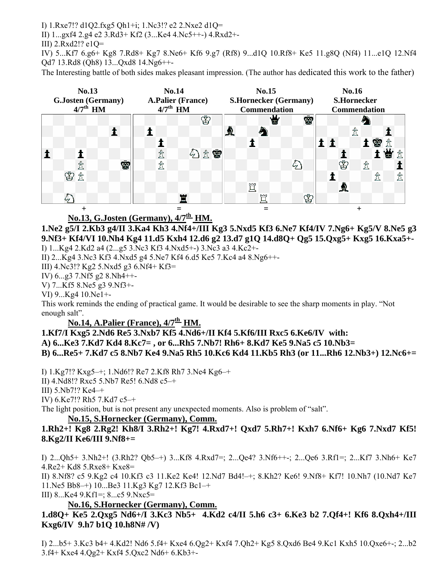I) 1.Rxe7!? d1Q2.fxg5 Qh1+і; 1.Nc3!? e2 2.Nxe2 d1Q=

II) 1...gxf4 2.g4 e2 3.Rd3+ Kf2 (3...Ke4 4.Nc5++-) 4.Rxd2+-

III) 2.Rxd2!? e1Q=

IV) 5...Kf7 6.g6+ Kg8 7.Rd8+ Kg7 8.Ne6+ Kf6 9.g7 (Rf8) 9...d1Q 10.Rf8+ Ke5 11.g8Q (Nf4) 11...e1Q 12.Nf4 Qd7 13.Rd8 (Qh8) 13...Qxd8 14.Ng6++-

The Interesting battle of both sides makes pleasant impression. (The author has dedicated this work to the father)



No.13, G.Josten (Germany),  $4/7^{\text{th}}$  HM.

**1.Ne2 g5/I 2.Kb3 g4/II 3.Ka4 Kh3 4.Nf4+/III Kg3 5.Nxd5 Kf3 6.Ne7 Kf4/IV 7.Ng6+ Kg5/V 8.Ne5 g3 9.Nf3+ Kf4/VI 10.Nh4 Kg4 11.d5 Kxh4 12.d6 g2 13.d7 g1Q 14.d8Q+ Qg5 15.Qxg5+ Kxg5 16.Kxa5+-**  I) 1...Kg4 2.Kd2 a4 (2...g5 3.Nc3 Kf3 4.Nxd5+-) 3.Nc3 a3 4.Kc2+-

II) 2...Kg4 3.Nc3 Kf3 4.Nxd5 g4 5.Ne7 Kf4 6.d5 Ke5 7.Kc4 a4 8.Ng6++-

III) 4.Nc3!? Kg2 5.Nxd5 g3 6.Nf4+ Kf3=

IV) 6...g3 7.Nf5 g2 8.Nh4++-

V) 7...Kf5 8.Ne5 g3 9.Nf3+-

VI) 9...Kg4 10.Ne1+-

This work reminds the ending of practical game. It would be desirable to see the sharp moments in play. "Not enough salt".

### **No.14, A.Palier (France),**  $4/7^{\text{th}}$  **HM.**

**1.Kf7/I Kxg5 2.Nd6 Re5 3.Nxb7 Kf5 4.Nd6+/II Kf4 5.Kf6/III Rxc5 6.Ke6/IV with: A) 6...Ke3 7.Kd7 Kd4 8.Kc7= , or 6...Rh5 7.Nb7! Rh6+ 8.Kd7 Ke5 9.Na5 c5 10.Nb3= B) 6...Re5+ 7.Kd7 c5 8.Nb7 Ke4 9.Na5 Rh5 10.Kc6 Kd4 11.Kb5 Rh3 (or 11...Rh6 12.Nb3+) 12.Nc6+=** 

I) 1.Kg7!? Kxg5–+; 1.Nd6!? Re7 2.Kf8 Rh7 3.Ne4 Kg6–+

II) 4.Nd8!? Rxc5 5.Nb7 Re5! 6.Nd8 c5–+

III) 5.Nb7!? Ke4–+

IV) 6.Ke7!? Rh5 7.Kd7 c5–+

The light position, but is not present any unexpected moments. Also is problem of "salt".

#### **No.15, S.Hornecker (Germany), Comm.**

**1.Rh2+! Kg8 2.Rg2! Kh8/I 3.Rh2+! Kg7! 4.Rxd7+! Qxd7 5.Rh7+! Kxh7 6.Nf6+ Kg6 7.Nxd7 Kf5! 8.Kg2/II Ke6/III 9.Nf8+=** 

I) 2...Qh5+ 3.Nh2+! (3.Rh2? Qb5–+) 3...Kf8 4.Rxd7=; 2...Qe4? 3.Nf6++-; 2...Qe6 3.Rf1=; 2...Kf7 3.Nh6+ Ke7 4.Re2+ Kd8 5.Rxe8+ Kxe8=

II) 8.Nf8? c5 9.Kg2 c4 10.Kf3 c3 11.Ke2 Ke4! 12.Nd7 Bd4!–+; 8.Kh2? Ke6! 9.Nf8+ Kf7! 10.Nh7 (10.Nd7 Ke7 11.Ne5 Bb8–+) 10...Be3 11.Kg3 Kg7 12.Kf3 Bc1–+

III) 8...Ke4 9.Kf1=; 8...c5 9.Nxc5=

### **No.16, S.Hornecker (Germany), Comm.**

### **1.d8Q+ Ke5 2.Qxg5 Nd6+/I 3.Kc3 Nb5+ 4.Kd2 c4/II 5.h6 c3+ 6.Ke3 b2 7.Qf4+! Kf6 8.Qxh4+/III Kxg6/IV 9.h7 b1Q 10.h8N# /V)**

I) 2...b5+ 3.Kc3 b4+ 4.Kd2! Nd6 5.f4+ Kxe4 6.Qg2+ Kxf4 7.Qh2+ Kg5 8.Qxd6 Be4 9.Kc1 Kxh5 10.Qxe6+-; 2...b2 3.f4+ Kxe4 4.Qg2+ Kxf4 5.Qxc2 Nd6+ 6.Kb3+-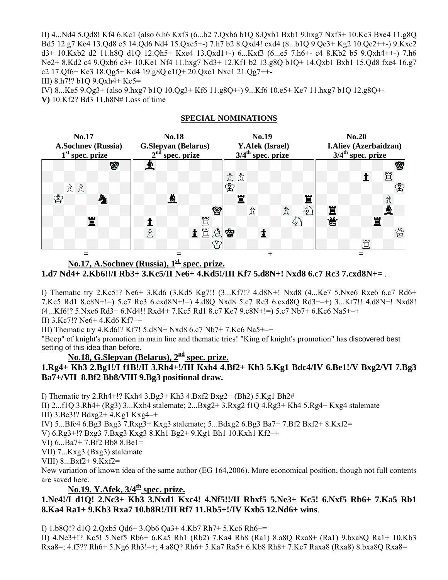II) 4...Nd4 5.Qd8! Kf4 6.Kc1 (also 6.h6 Kxf3 (6...b2 7.Qxb6 b1Q 8.Qxb1 Bxb1 9.hxg7 Nxf3+ 10.Kc3 Bxe4 11.g8Q Bd5 12.g7 Ke4 13.Qd8 e5 14.Qd6 Nd4 15.Qxc5+-) 7.h7 b2 8.Qxd4! cxd4 (8...b1Q 9.Qe3+ Kg2 10.Qe2++-) 9.Kxc2 d3+ 10.Kxb2 d2 11.h8Q d1Q 12.Qh5+ Kxe4 13.Qxd1+-) 6...Kxf3 (6...e5 7.h6+- c4 8.Kb2 b5 9.Qxh4++-) 7.h6 Ne2+ 8.Kd2 c4 9.Qxb6 c3+ 10.Ke1 Nf4 11.hxg7 Nd3+ 12.Kf1 b2 13.g8Q b1Q+ 14.Qxb1 Bxb1 15.Qd8 fxe4 16.g7 c2 17.Qf6+ Ke3 18.Qg5+ Kd4 19.g8Q c1Q+ 20.Qxc1 Nxc1 21.Qg7++-

III) 8.h7!? b1Q 9.Qxh4+ Ke5=

IV) 8...Ke5 9.Qg3+ (also 9.hxg7 b1Q 10.Qg3+ Kf6 11.g8Q+-) 9...Kf6 10.e5+ Ke7 11.hxg7 b1Q 12.g8Q+- **V)** 10.Kf2? Bd3 11.h8N# Loss of time

#### **SPECIAL NOMINATIONS**



### No.17, A.Sochnev (Russia),  $1<sup>st</sup>$  spec. prize. **1.d7 Nd4+ 2.Kb6!!/I Rb3+ 3.Kc5/II Ne6+ 4.Kd5!/III Kf7 5.d8N+! Nxd8 6.c7 Rc3 7.cxd8N+=** .

I) Thematic try 2.Kc5!? Ne6+ 3.Kd6 (3.Kd5 Kg7!! (3...Kf7!? 4.d8N+! Nxd8 (4...Ke7 5.Nxe6 Rxe6 6.c7 Rd6+ 7.Kc5 Rd1 8.c8N+!=) 5.c7 Rc3 6.cxd8N+!=) 4.d8Q Nxd8 5.c7 Rc3 6.cxd8Q Rd3+–+) 3...Kf7!! 4.d8N+! Nxd8! (4...Kf6!? 5.Nxe6 Rd3+ 6.Nd4!! Rxd4+ 7.Kc5 Rd1 8.c7 Ke7 9.c8N+!=) 5.c7 Nb7+ 6.Kc6 Na5+–+

II) 3.Kc7!? Ne6+ 4.Kd6 Kf7–+

III) Thematic try 4.Kd6!? Kf7! 5.d8N+ Nxd8 6.c7 Nb7+ 7.Kc6 Na5+–+

"Beep" of knight's promotion in main line and thematic tries! "King of knight's promotion" has discovered best setting of this idea than before.

No.18, G.Slepyan (Belarus),  $2<sup>nd</sup>$  spec. prize.

### **1.Rg4+ Kh3 2.Bg1!/I f1B!/II 3.Rh4+!/III Kxh4 4.Bf2+ Kh3 5.Kg1 Bdc4/IV 6.Be1!/V Bxg2/VI 7.Bg3 Ba7+/VII 8.Bf2 Bb8/VIII 9.Bg3 positional draw.**

I) Thematic try 2.Rh4+!? Kxh4 3.Bg3+ Kh3 4.Bxf2 Bxg2+ (Bh2) 5.Kg1 Bh2#

II) 2...f1Q 3.Rh4+ (Rg3) 3...Kxh4 stalemate; 2...Bxg2+ 3.Rxg2 f1Q 4.Rg3+ Kh4 5.Rg4+ Kxg4 stalemate III) 3.Be3!? Bdxg2+ 4.Kg1 Kxg4–+

IV) 5...Bfc4 6.Bg3 Bxg3 7.Rxg3+ Kxg3 stalemate; 5...Bdxg2 6.Bg3 Ba7+ 7.Bf2 Bxf2+ 8.Kxf2=

V) 6.Rg3+!? Bxg3 7.Bxg3 Kxg3 8.Kh1 Bg2+ 9.Kg1 Bh1 10.Kxh1 Kf2–+

VI) 6...Ba7+ 7.Bf2 Bb8 8.Be1=

VII) 7...Kxg3 (Bxg3) stalemate

VIII) 8...Bxf2+ 9.Kxf2=

New variation of known idea of the same author (EG 164,2006). More economical position, though not full contents are saved here.

No.19. Y.Afek,  $3/4^{\underline{th}}$  spec. prize.

### **1.Ne4!/I d1Q! 2.Nc3+ Kb3 3.Nxd1 Kxc4! 4.Nf5!!/II Rhxf5 5.Ne3+ Kc5! 6.Nxf5 Rb6+ 7.Ka5 Rb1 8.Ka4 Ra1+ 9.Kb3 Rxa7 10.b8R!/III Rf7 11.Rb5+!/IV Kxb5 12.Nd6+ wins**.

I) 1.b8Q!? d1Q 2.Qxb5 Qd6+ 3.Qb6 Qa3+ 4.Kb7 Rh7+ 5.Kc6 Rh6+=

II) 4.Ne3+!? Kc5! 5.Nef5 Rb6+ 6.Ka5 Rb1 (Rb2) 7.Ka4 Rh8 (Ra1) 8.a8Q Rxa8+ (Ra1) 9.bxa8Q Ra1+ 10.Kb3 Rxa8=; 4.f5?? Rh6+ 5.Ng6 Rh3!–+; 4.a8Q? Rh6+ 5.Ka7 Ra5+ 6.Kb8 Rh8+ 7.Kc7 Raxa8 (Rxa8) 8.bxa8Q Rxa8=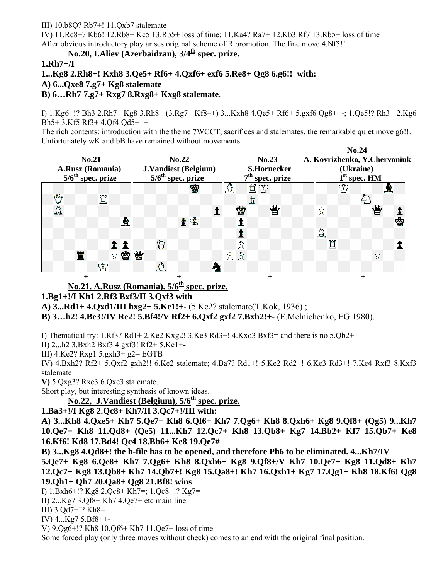#### III)  $10.68Q$ ? Rb7+!  $11.0xb$ 7 stalemate

IV) 11.Rc8+? Kb6! 12.Rb8+ Kc5 13.Rb5+ loss of time; 11.Ka4? Ra7+ 12.Kb3 Rf7 13.Rb5+ loss of time After obvious introductory play arises original scheme of R promotion. The fine move 4.Nf5!!

No.20, I.Aliev (Azerbaidzan),  $3/4^{\underline{th}}$  spec. prize.

#### **1.Rh7+/I**

**1...Kg8 2.Rh8+! Kxh8 3.Qe5+ Rf6+ 4.Qxf6+ exf6 5.Re8+ Qg8 6.g6!! with:** 

**A) 6...Qxe8 7.g7+ Kg8 stalemate** 

#### **B) 6…Rb7 7.g7+ Rxg7 8.Rxg8+ Kxg8 stalemate**.

I) 1.Kg6+!? Bh3 2.Rh7+ Kg8 3.Rh8+ (3.Rg7+ Kf8–+) 3...Kxh8 4.Qe5+ Rf6+ 5.gxf6 Qg8++-; 1.Qe5!? Rh3+ 2.Kg6 Bh5+ 3.Kf5 Rf3+ 4.Qf4 Qd5+–+

The rich contents: introduction with the theme 7WCCT, sacrifices and stalemates, the remarkable quiet move g6!!. Unfortunately wK and bB have remained without movements.

|                                 |                                 |                    | No.24                         |
|---------------------------------|---------------------------------|--------------------|-------------------------------|
| No.21                           | No.22                           | No.23              | A. Kovrizhenko, Y. Chervoniuk |
| A.Rusz (Romania)                | <b>J.Vandiest (Belgium)</b>     | <b>S.Hornecker</b> | (Ukraine)                     |
| $5/6$ <sup>th</sup> spec. prize | $5/6$ <sup>th</sup> spec. prize | $7th$ spec. prize  | $1st$ spec. HM                |
|                                 | Ŵ                               | ËŠ<br>$\Delta$     | ♔<br>R                        |
| Y<br>買                          |                                 |                    |                               |
| $\Delta$                        |                                 | 营<br>ġ             | 営<br>₫                        |
| ₫                               | 土田                              |                    | ġ                             |
|                                 |                                 |                    | $\Delta$                      |
|                                 | y                               | ₫                  | 買                             |
| 贪容                              | 営                               | 贪<br>₫             | 岔                             |
| ♔                               | A                               |                    |                               |
|                                 |                                 |                    |                               |

No.21. A.Rusz (Romania).  $5/6<sup>th</sup>$  spec. prize.

### **1.Bg1+!/I Kh1 2.Rf3 Bxf3/II 3.Qxf3 with**

**A) 3...Rd1+ 4.Qxd1/III hxg2+ 5.Ke1!+-** (5.Ke2? stalemate(T.Kok, 1936) ;

**B) 3…h2! 4.Be3!/IV Re2! 5.Bf4!/V Rf2+ 6.Qxf2 gxf2 7.Bxh2!+-** (E.Melnichenko, EG 1980).

I) Thematical try:  $1. Rf3$ ? Rd1+  $2. Ke2$  Kxg2!  $3. Ke3$  Rd3+!  $4. Kxd3$  Bxf3= and there is no  $5. Qb2$ +

II) 2...h2 3.Bxh2 Bxf3 4.gxf3! Rf2+ 5.Ke1+-

III) 4.Ke2? Rxg1 5.gxh3+ g2= EGTB

IV) 4.Bxh2? Rf2+ 5.Qxf2 gxh2!! 6.Ke2 stalemate; 4.Ba7? Rd1+! 5.Ke2 Rd2+! 6.Ke3 Rd3+! 7.Ke4 Rxf3 8.Kxf3 stalemate

**V)** 5.Qxg3? Rxe3 6.Qxe3 stalemate.

Short play, but interesting synthesis of known ideas.

No.22, J.Vandiest (Belgium),  $5/6<sup>th</sup>$  spec. prize.

### **1.Ba3+!/I Kg8 2.Qc8+ Kh7/II 3.Qc7+!/III with:**

**A) 3...Kh8 4.Qxe5+ Kh7 5.Qe7+ Kh8 6.Qf6+ Kh7 7.Qg6+ Kh8 8.Qxh6+ Kg8 9.Qf8+ (Qg5) 9...Kh7 10.Qe7+ Kh8 11.Qd8+ (Qe5) 11...Kh7 12.Qc7+ Kh8 13.Qb8+ Kg7 14.Bb2+ Kf7 15.Qb7+ Ke8 16.Kf6! Kd8 17.Bd4! Qc4 18.Bb6+ Ke8 19.Qe7#**

**B) 3...Kg8 4.Qd8+! the h-file has to be opened, and therefore Ph6 to be eliminated. 4...Kh7/IV** 

**5.Qe7+ Kg8 6.Qe8+ Kh7 7.Qg6+ Kh8 8.Qxh6+ Kg8 9.Qf8+/V Kh7 10.Qe7+ Kg8 11.Qd8+ Kh7 12.Qc7+ Kg8 13.Qb8+ Kh7 14.Qb7+! Kg8 15.Qa8+! Kh7 16.Qxh1+ Kg7 17.Qg1+ Kh8 18.Kf6! Qg8 19.Qh1+ Qh7 20.Qa8+ Qg8 21.Bf8! wins**.

I) 1.Bxh6+!? Kg8 2.Qc8+ Kh7=; 1.Qc8+!? Kg7=

II)  $2...Kg7$  3.Qf8+ Kh7 4.Qe7+ etc main line

III) 3.Qd7+!? Kh8=

IV) 4...Kg7 5.Bf8++-

V) 9.Qg6+!? Kh8 10.Qf6+ Kh7 11.Qe7+ loss of time

Some forced play (only three moves without check) comes to an end with the original final position.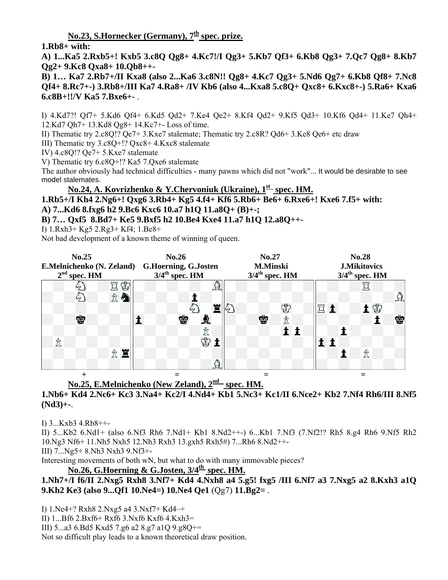No.23, S.Hornecker (Germany),  $7<sup>th</sup>$  spec. prize.

**1.Rb8+ with:** 

**A) 1...Ka5 2.Rxb5+! Kxb5 3.c8Q Qg8+ 4.Kc7!/I Qg3+ 5.Kb7 Qf3+ 6.Kb8 Qg3+ 7.Qc7 Qg8+ 8.Kb7 Qg2+ 9.Kc8 Qxa8+ 10.Qb8++-** 

**B) 1… Ka7 2.Rb7+/II Kxa8 (also 2...Ka6 3.c8N!! Qg8+ 4.Kc7 Qg3+ 5.Nd6 Qg7+ 6.Kb8 Qf8+ 7.Nc8 Qf4+ 8.Rc7+-) 3.Rb8+/III Ka7 4.Ra8+ /IV Kb6 (also 4...Kxa8 5.c8Q+ Qxc8+ 6.Kxc8+-) 5.Ra6+ Kxa6 6.c8B+!!/V Ka5 7.Bxe6+-** .

I) 4.Kd7?! Qf7+ 5.Kd6 Qf4+ 6.Kd5 Qd2+ 7.Ke4 Qe2+ 8.Kf4 Qd2+ 9.Kf5 Qd3+ 10.Kf6 Qd4+ 11.Ke7 Qh4+ 12.Kd7 Qh7+ 13.Kd8 Qg8+ 14.Kc7+- Loss of time.

II) Thematic try 2.c8Q!? Qe7+ 3.Kxe7 stalemate; Thematic try 2.c8R? Qd6+ 3.Ke8 Qe6+ etc draw

III) Thematic try 3.c8Q+!? Qxc8+ 4.Kxc8 stalemate

IV) 4.c8Q!? Qe7+ 5.Kxe7 stalemate

V) Thematic try 6.c8Q+!? Ka5 7.Qxe6 stalemate

The author obviously had technical difficulties - many pawns which did not "work"... It would be desirable to see model stalemates.

**No.24, A. Kovrizhenko & Y.Chervoniuk (Ukraine), 1st spec. HM.**

**1.Rb5+/I Kh4 2.Ng6+! Qxg6 3.Rb4+ Kg5 4.f4+ Kf6 5.Rb6+ Be6+ 6.Rxe6+! Kxe6 7.f5+ with: A) 7...Kd6 8.fxg6 h2 9.Bc6 Kxc6 10.a7 h1Q 11.a8Q+ (B)+-;** 

**B) 7… Qxf5 8.Bd7+ Ke5 9.Bxf5 h2 10.Be4 Kxe4 11.a7 h1Q 12.a8Q++-** 

I) 1.Rxh3+ Kg5 2.Rg3+ Kf4; 1.Be8+

Not bad development of a known theme of winning of queen.

|   | No.25<br>E.Melnichenko (N. Zeland) G.Hoerning, G.Josten<br>$2nd$ spec. <u>HM</u> |        |  | No.26<br>$3/4$ <sup>th</sup> spec. HM |   |                                      |    | No.27<br><b>M.Minski</b><br>$3/4^{\text{th}}$ spec. $\underline{HM}$ |   |     |  |            |  | <b>No.28</b><br><b>J.Mikitovics</b><br>$3/4$ <sup>th</sup> spec. HM |   |    |          |  |  |  |
|---|----------------------------------------------------------------------------------|--------|--|---------------------------------------|---|--------------------------------------|----|----------------------------------------------------------------------|---|-----|--|------------|--|---------------------------------------------------------------------|---|----|----------|--|--|--|
|   |                                                                                  | ♔<br>買 |  |                                       |   | $\boldsymbol{\mathbf{\mathfrak{A}}}$ |    |                                                                      |   |     |  |            |  |                                                                     | 買 |    |          |  |  |  |
|   | E                                                                                | 岔<br>Ą |  |                                       |   |                                      |    |                                                                      |   |     |  |            |  |                                                                     |   |    | $\Delta$ |  |  |  |
|   |                                                                                  |        |  |                                       |   | 冒                                    | 67 |                                                                      |   | ♔   |  | <b>NUT</b> |  |                                                                     |   | 土宫 |          |  |  |  |
|   | ♔                                                                                |        |  | ♔                                     |   |                                      |    |                                                                      | ♔ | ₫   |  |            |  |                                                                     |   |    | ġ        |  |  |  |
|   |                                                                                  |        |  |                                       | ₫ |                                      |    |                                                                      |   | 1 1 |  |            |  |                                                                     |   |    |          |  |  |  |
| ₫ |                                                                                  |        |  |                                       | ♔ |                                      |    |                                                                      |   |     |  |            |  |                                                                     |   |    |          |  |  |  |
|   |                                                                                  | 贪量     |  |                                       |   |                                      |    |                                                                      |   |     |  |            |  |                                                                     | ₫ |    |          |  |  |  |
|   |                                                                                  |        |  |                                       |   | $\Delta$                             |    |                                                                      |   |     |  |            |  |                                                                     |   |    |          |  |  |  |
|   | $\pm$                                                                            |        |  |                                       |   |                                      |    |                                                                      |   |     |  |            |  |                                                                     |   |    |          |  |  |  |

# **No.25, E.Melnichenko (New Zeland), 2nd spec. HM.**

#### **1.Nb6+ Kd4 2.Nc6+ Kc3 3.Na4+ Kc2/I 4.Nd4+ Kb1 5.Nc3+ Kc1/II 6.Nce2+ Kb2 7.Nf4 Rh6/III 8.Nf5 (Nd3)+-**.

I) 3...Kxb3 4.Rb8++-

II) 5...Kb2 6.Nd1+ (also 6.Nf3 Rh6 7.Nd1+ Kb1 8.Nd2++-) 6...Kb1 7.Nf3 (7.Nf2!? Rh5 8.g4 Rh6 9.Nf5 Rh2 10.Ng3 Nf6+ 11.Nh5 Nxh5 12.Nh3 Rxh3 13.gxh5 Rxh5#) 7...Rh6 8.Nd2++-

III) 7...Ng5+ 8.Nh3 Nxh3 9.Nf3+-

Interesting movements of both wN, but what to do with many immovable pieces?

No.26, G.Hoerning & G.Josten,  $3/4^{\text{th}}$  spec. HM.

**1.Nh7+/I f6/II 2.Nxg5 Rxh8 3.Nf7+ Kd4 4.Nxh8 a4 5.g5! fxg5 /III 6.Nf7 a3 7.Nxg5 a2 8.Kxh3 a1Q 9.Kh2 Ke3 (also 9...Qf1 10.Ne4=) 10.Ne4 Qe1** (Qg7) **11.Bg2=** .

I) 1.Ne4+? Rxh8 2.Nxg5 a4 3.Nxf7+ Kd4–+

II) 1...Bf6 2.Bxf6+ Rxf6 3.Nxf6 Kxf6 4.Kxh3=

III) 5...a3 6.Bd5 Kxd5 7.g6 a2 8.g7 a1Q 9.g8Q+=

Not so difficult play leads to a known theoretical draw position.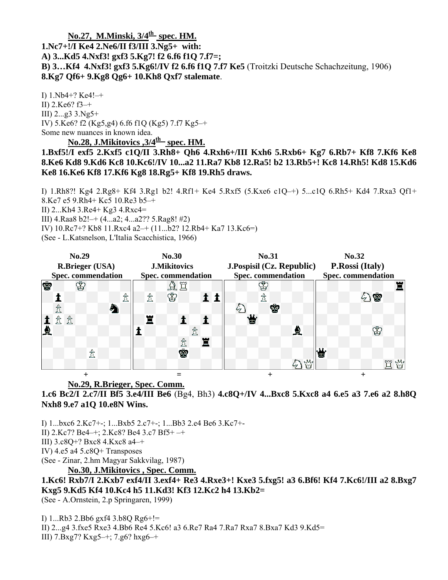### No.27, M.Minski,  $3/4^{\text{th}}$  spec. HM. **1.Nc7+!/I Ke4 2.Ne6/II f3/III 3.Ng5+ with: A) 3...Kd5 4.Nxf3! gxf3 5.Kg7! f2 6.f6 f1Q 7.f7=; B) 3…Kf4 4.Nxf3! gxf3 5.Kg6!/IV f2 6.f6 f1Q 7.f7 Ke5** (Troitzki Deutsche Schachzeitung, 1906) **8.Kg7 Qf6+ 9.Kg8 Qg6+ 10.Kh8 Qxf7 stalemate**.

I) 1.Nb4+? Ke4!–+ II) 2.Ke6? f3–+ III) 2...g3 3.Ng5+ IV) 5.Ke6? f2 (Kg5,g4) 6.f6 f1Q (Kg5) 7.f7 Kg5–+ Some new nuances in known idea.

No.28, J.Mikitovics , 3/4<sup>th</sup> spec. HM.

**1.Bxf5!/I exf5 2.Kxf5 c1Q/II 3.Rh8+ Qh6 4.Rxh6+/III Kxh6 5.Rxb6+ Kg7 6.Rb7+ Kf8 7.Kf6 Ke8 8.Ke6 Kd8 9.Kd6 Kc8 10.Kc6!/IV 10...a2 11.Ra7 Kb8 12.Ra5! b2 13.Rb5+! Kc8 14.Rh5! Kd8 15.Kd6 Ke8 16.Ke6 Kf8 17.Kf6 Kg8 18.Rg5+ Kf8 19.Rh5 draws.** 

I) 1.Rh8?! Kg4 2.Rg8+ Kf4 3.Rg1 b2! 4.Rf1+ Ke4 5.Rxf5 (5.Kxe6 c1Q–+) 5...c1Q 6.Rh5+ Kd4 7.Rxa3 Qf1+ 8.Ke7 e5 9.Rh4+ Kc5 10.Re3 b5–+ II) 2...Kh4 3.Re4+ Kg3 4.Rxc4= III) 4.Raa8 b2!–+ (4...a2; 4...a2?? 5.Rag8! #2) IV) 10.Rc7+? Kb8 11.Rxc4 a2–+ (11...b2? 12.Rb4+ Ka7 13.Kc6=) (See - L.Katsnelson, L'Italia Scacchistica, 1966)

| No.29<br><b>R.Brieger (USA)</b> |  |    |   |   |   |                           |  |   | <b>No.30</b><br><b>J.Mikitovics</b> |                            |  |   | No.31<br>J.Pospisil (Cz. Republic) |  |           |   |   |   |             | No.32<br>P.Rossi (Italy)  |  |  |    |   |  |     |
|---------------------------------|--|----|---|---|---|---------------------------|--|---|-------------------------------------|----------------------------|--|---|------------------------------------|--|-----------|---|---|---|-------------|---------------------------|--|--|----|---|--|-----|
|                                 |  |    |   |   |   |                           |  |   |                                     |                            |  |   |                                    |  |           |   |   |   |             |                           |  |  |    |   |  |     |
| <b>Spec.</b> commendation       |  |    |   |   |   | <b>Spec.</b> commendation |  |   |                                     |                            |  |   | <b>Spec.</b> commendation          |  |           |   |   |   |             | <b>Spec. commendation</b> |  |  |    |   |  |     |
| <b>S</b>                        |  |    | Š |   |   |                           |  |   |                                     | $\mathbb{A} \, \mathbb{H}$ |  |   |                                    |  |           |   |   |   |             |                           |  |  |    |   |  |     |
|                                 |  |    |   |   |   | 贪                         |  | ₫ |                                     | ♔                          |  |   |                                    |  |           | 贪 |   |   |             |                           |  |  | 分留 |   |  |     |
|                                 |  |    |   |   | 办 |                           |  |   |                                     |                            |  |   |                                    |  |           |   | Ŵ |   |             |                           |  |  |    |   |  |     |
|                                 |  | 岔岔 |   |   |   |                           |  | 冒 |                                     |                            |  |   |                                    |  | ىلىك<br>W |   |   |   |             |                           |  |  |    |   |  |     |
| R                               |  |    |   |   |   |                           |  |   |                                     |                            |  |   |                                    |  |           |   |   | R |             |                           |  |  |    | ♔ |  |     |
|                                 |  |    |   |   |   |                           |  |   |                                     | ₫                          |  | W |                                    |  |           |   |   |   |             |                           |  |  |    |   |  |     |
|                                 |  |    |   | ₫ |   |                           |  |   |                                     | Ý                          |  |   |                                    |  |           |   |   |   |             | ĿШ.<br>œ                  |  |  |    |   |  |     |
|                                 |  |    |   |   |   |                           |  |   |                                     |                            |  |   |                                    |  |           |   |   |   | $M_{\rm s}$ |                           |  |  |    |   |  | rMo |
|                                 |  |    |   |   |   |                           |  |   |                                     |                            |  |   |                                    |  |           |   |   |   |             |                           |  |  |    |   |  |     |

#### **No.29, R.Brieger, Spec. Comm.**

**1.c6 Bc2/I 2.c7/II Bf5 3.e4/III Be6** (Bg4, Bh3) **4.c8Q+/IV 4...Bxc8 5.Kxc8 a4 6.e5 a3 7.e6 a2 8.h8Q Nxh8 9.e7 a1Q 10.e8N Wins.** 

I) 1...bxc6 2.Kc7+-; 1...Bxb5 2.c7+-; 1...Bb3 2.e4 Be6 3.Kc7+-

- II) 2.Kc7? Be4–+; 2.Kc8? Be4 3.c7 Bf5+ –+
- III) 3.c8Q+? Bxc8 4.Kxc8 a4–+
- IV) 4.e5 a4 5.c8Q+ Transposes

(See - Zinar, 2.hm Magyar Sakkvilag, 1987)

**No.30, J.Mikitovics , Spec. Comm.**

**1.Kc6! Rxb7/I 2.Kxb7 exf4/II 3.exf4+ Re3 4.Rxe3+! Kxe3 5.fxg5! a3 6.Bf6! Kf4 7.Kc6!/III a2 8.Bxg7 Kxg5 9.Kd5 Kf4 10.Kc4 h5 11.Kd3! Kf3 12.Kc2 h4 13.Kb2=** 

(See - A.Ornstein, 2.p Springaren, 1999)

I) 1...Rb3 2.Bb6 gxf4 3.b8Q Rg6+!=

II) 2...g4 3.fxe5 Rxe3 4.Bb6 Re4 5.Kc6! a3 6.Re7 Ra4 7.Ra7 Rxa7 8.Bxa7 Kd3 9.Kd5= III) 7.Bxg7? Kxg5–+; 7.g6? hxg6–+